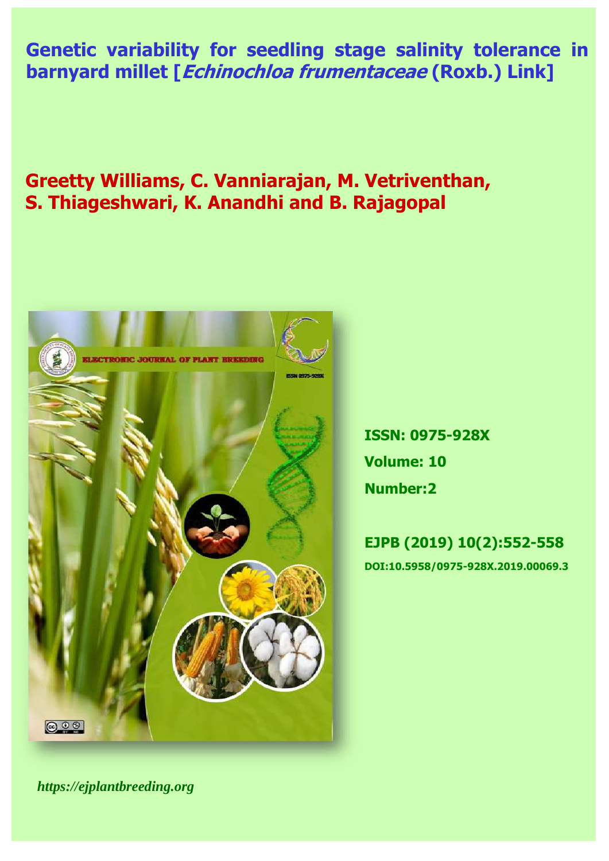Genetic variability for seedling stage salinity tolerance in **barnyard millet [***Echinochloa frumentaceae* **(Roxb.) Link]** 

**Greetty Williams, C. Vanniarajan, M. Vetriventhan, S. Thiageshwari, K. Anandhi and B. Rajagopal**



**ISSN: 0975-928X Volume: 10 Number:2**

**EJPB (2019) 10(2):552-558 DOI:10.5958/0975-928X.2019.00069.3**

*https://ejplantbreeding.org*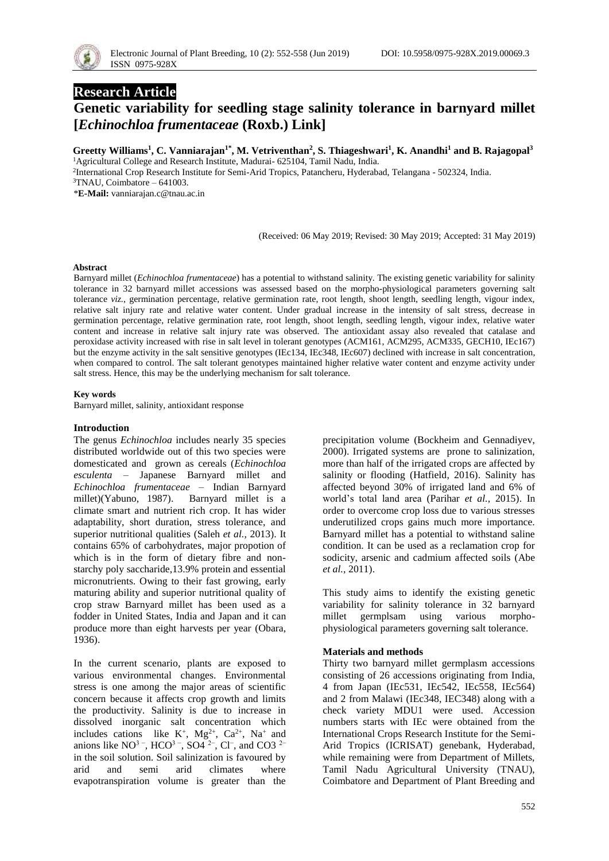

# **Research Article**

# **Genetic variability for seedling stage salinity tolerance in barnyard millet [***Echinochloa frumentaceae* **(Roxb.) Link]**

**Greetty Williams<sup>1</sup> , C. Vanniarajan1\* , M. Vetriventhan<sup>2</sup> , S. Thiageshwari<sup>1</sup> , K. Anandhi<sup>1</sup> and B. Rajagopal<sup>3</sup>**

<sup>1</sup>Agricultural College and Research Institute, Madurai- 625104, Tamil Nadu, India.

2 International Crop Research Institute for Semi-Arid Tropics, Patancheru, Hyderabad, Telangana - 502324, India.

\***E-Mail:** vanniarajan.c@tnau.ac.in

(Received: 06 May 2019; Revised: 30 May 2019; Accepted: 31 May 2019)

#### **Abstract**

Barnyard millet (*Echinochloa frumentaceae*) has a potential to withstand salinity. The existing genetic variability for salinity tolerance in 32 barnyard millet accessions was assessed based on the morpho-physiological parameters governing salt tolerance *viz.*, germination percentage, relative germination rate, root length, shoot length, seedling length, vigour index, relative salt injury rate and relative water content. Under gradual increase in the intensity of salt stress, decrease in germination percentage, relative germination rate, root length, shoot length, seedling length, vigour index, relative water content and increase in relative salt injury rate was observed. The antioxidant assay also revealed that catalase and peroxidase activity increased with rise in salt level in tolerant genotypes (ACM161, ACM295, ACM335, GECH10, IEc167) but the enzyme activity in the salt sensitive genotypes (IEc134, IEc348, IEc607) declined with increase in salt concentration, when compared to control. The salt tolerant genotypes maintained higher relative water content and enzyme activity under salt stress. Hence, this may be the underlying mechanism for salt tolerance.

#### **Key words**

Barnyard millet, salinity, antioxidant response

## **Introduction**

The genus *Echinochloa* includes nearly 35 species distributed worldwide out of this two species were domesticated and grown as cereals (*Echinochloa esculenta* – Japanese Barnyard millet and *Echinochloa frumentaceae* – Indian Barnyard millet)(Yabuno, 1987). Barnyard millet is a climate smart and nutrient rich crop. It has wider adaptability, short duration, stress tolerance, and superior nutritional qualities (Saleh *et al.*, 2013). It contains 65% of carbohydrates, major propotion of which is in the form of dietary fibre and nonstarchy poly saccharide,13.9% protein and essential micronutrients. Owing to their fast growing, early maturing ability and superior nutritional quality of crop straw Barnyard millet has been used as a fodder in United States, India and Japan and it can produce more than eight harvests per year (Obara, 1936).

In the current scenario, plants are exposed to various environmental changes. Environmental stress is one among the major areas of scientific concern because it affects crop growth and limits the productivity. Salinity is due to increase in dissolved inorganic salt concentration which includes cations like  $K^+$ ,  $Mg^{2+}$ ,  $Ca^{2+}$ ,  $Na^+$  and anions like NO<sup>3-</sup>, HCO<sup>3-</sup>, SO4<sup>2-</sup>, Cl<sup>-</sup>, and CO3<sup>2-</sup> in the soil solution. Soil salinization is favoured by arid and semi arid climates where evapotranspiration volume is greater than the

precipitation volume (Bockheim and Gennadiyev, 2000). Irrigated systems are prone to salinization, more than half of the irrigated crops are affected by salinity or flooding (Hatfield, 2016). Salinity has affected beyond 30% of irrigated land and 6% of world's total land area (Parihar *et al.*, 2015). In order to overcome crop loss due to various stresses underutilized crops gains much more importance. Barnyard millet has a potential to withstand saline condition. It can be used as a reclamation crop for sodicity, arsenic and cadmium affected soils (Abe *et al.*, 2011).

This study aims to identify the existing genetic variability for salinity tolerance in 32 barnyard millet germplsam using various morphophysiological parameters governing salt tolerance.

## **Materials and methods**

Thirty two barnyard millet germplasm accessions consisting of 26 accessions originating from India, 4 from Japan (IEc531, IEc542, IEc558, IEc564) and 2 from Malawi (IEc348, IEC348) along with a check variety MDU1 were used. Accession numbers starts with IEc were obtained from the International Crops Research Institute for the Semi-Arid Tropics (ICRISAT) genebank, Hyderabad, while remaining were from Department of Millets, Tamil Nadu Agricultural University (TNAU), Coimbatore and Department of Plant Breeding and

<sup>3</sup>TNAU, Coimbatore – 641003.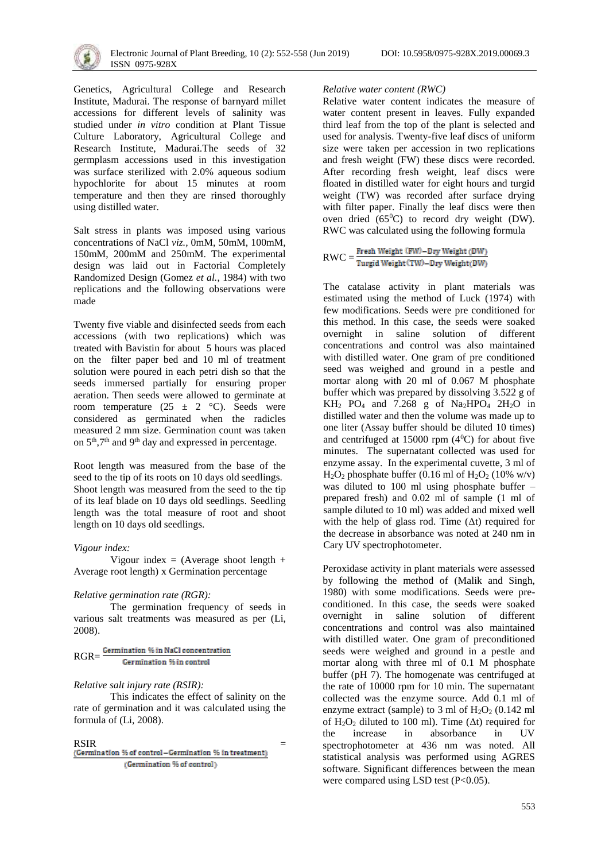

Genetics, Agricultural College and Research Institute, Madurai. The response of barnyard millet accessions for different levels of salinity was studied under *in vitro* condition at Plant Tissue Culture Laboratory, Agricultural College and Research Institute, Madurai.The seeds of 32 germplasm accessions used in this investigation was surface sterilized with 2.0% aqueous sodium hypochlorite for about 15 minutes at room temperature and then they are rinsed thoroughly using distilled water.

Salt stress in plants was imposed using various concentrations of NaCl *viz.,* 0mM, 50mM, 100mM, 150mM, 200mM and 250mM. The experimental design was laid out in Factorial Completely Randomized Design (Gomez *et al.*, 1984) with two replications and the following observations were made

Twenty five viable and disinfected seeds from each accessions (with two replications) which was treated with Bavistin for about 5 hours was placed on the filter paper bed and 10 ml of treatment solution were poured in each petri dish so that the seeds immersed partially for ensuring proper aeration. Then seeds were allowed to germinate at room temperature  $(25 \pm 2 \degree C)$ . Seeds were considered as germinated when the radicles measured 2 mm size. Germination count was taken on  $5<sup>th</sup>$ ,7<sup>th</sup> and 9<sup>th</sup> day and expressed in percentage.

Root length was measured from the base of the seed to the tip of its roots on 10 days old seedlings. Shoot length was measured from the seed to the tip of its leaf blade on 10 days old seedlings. Seedling length was the total measure of root and shoot length on 10 days old seedlings.

## *Vigour index:*

Vigour index = (Average shoot length + Average root length) x Germination percentage

## *Relative germination rate (RGR):*

The germination frequency of seeds in various salt treatments was measured as per (Li, 2008).

RGR= Germination % in control

# *Relative salt injury rate (RSIR):*

This indicates the effect of salinity on the rate of germination and it was calculated using the formula of (Li, 2008).

 $\begin{array}{lcl} \text{RSIR} & = \\ \text{(\text{Germanation 96 of control}-Germanation 96 in treatment)} \end{array}$ (Germination % of control)

#### *Relative water content (RWC)*

Relative water content indicates the measure of water content present in leaves. Fully expanded third leaf from the top of the plant is selected and used for analysis. Twenty-five leaf discs of uniform size were taken per accession in two replications and fresh weight (FW) these discs were recorded. After recording fresh weight, leaf discs were floated in distilled water for eight hours and turgid weight (TW) was recorded after surface drying with filter paper. Finally the leaf discs were then oven dried  $(65^{\circ}C)$  to record dry weight (DW). RWC was calculated using the following formula

 $\text{RWC} = \frac{\text{Fresh Weight (FW)} - \text{Dry Weight (DW)}}{\text{Turgid Weight (TW)} - \text{Dry Weight (DW)}}$ 

The catalase activity in plant materials was estimated using the method of Luck (1974) with few modifications. Seeds were pre conditioned for this method. In this case, the seeds were soaked overnight in saline solution of different concentrations and control was also maintained with distilled water. One gram of pre conditioned seed was weighed and ground in a pestle and mortar along with 20 ml of 0.067 M phosphate buffer which was prepared by dissolving 3.522 g of  $KH<sub>2</sub>$  PO<sub>4</sub> and 7.268 g of Na<sub>2</sub>HPO<sub>4</sub> 2H<sub>2</sub>O in distilled water and then the volume was made up to one liter (Assay buffer should be diluted 10 times) and centrifuged at 15000 rpm  $(4^0C)$  for about five minutes. The supernatant collected was used for enzyme assay. In the experimental cuvette, 3 ml of  $H<sub>2</sub>O<sub>2</sub>$  phosphate buffer (0.16 ml of  $H<sub>2</sub>O<sub>2</sub>$  (10% w/v) was diluted to 100 ml using phosphate buffer – prepared fresh) and 0.02 ml of sample (1 ml of sample diluted to 10 ml) was added and mixed well with the help of glass rod. Time  $(\Delta t)$  required for the decrease in absorbance was noted at 240 nm in Cary UV spectrophotometer.

Peroxidase activity in plant materials were assessed by following the method of (Malik and Singh, 1980) with some modifications. Seeds were preconditioned. In this case, the seeds were soaked overnight in saline solution of different concentrations and control was also maintained with distilled water. One gram of preconditioned seeds were weighed and ground in a pestle and mortar along with three ml of 0.1 M phosphate buffer (pH 7). The homogenate was centrifuged at the rate of 10000 rpm for 10 min. The supernatant collected was the enzyme source. Add 0.1 ml of enzyme extract (sample) to 3 ml of  $H_2O_2$  (0.142 ml of  $H_2O_2$  diluted to 100 ml). Time ( $\Delta t$ ) required for the increase in absorbance in UV spectrophotometer at 436 nm was noted. All statistical analysis was performed using AGRES software. Significant differences between the mean were compared using LSD test  $(P<0.05)$ .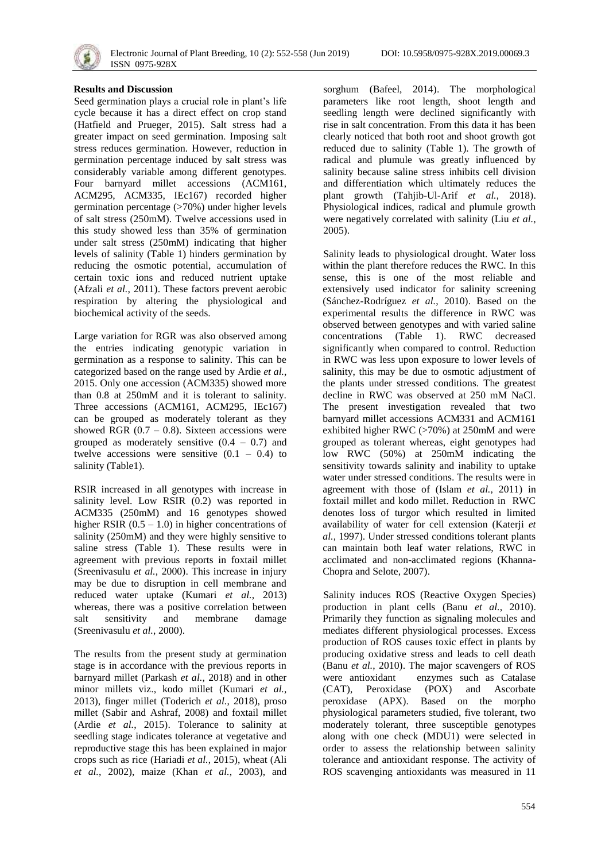

## **Results and Discussion**

Seed germination plays a crucial role in plant's life cycle because it has a direct effect on crop stand (Hatfield and Prueger, 2015). Salt stress had a greater impact on seed germination. Imposing salt stress reduces germination. However, reduction in germination percentage induced by salt stress was considerably variable among different genotypes. Four barnyard millet accessions (ACM161, ACM295, ACM335, IEc167) recorded higher germination percentage (>70%) under higher levels of salt stress (250mM). Twelve accessions used in this study showed less than 35% of germination under salt stress (250mM) indicating that higher levels of salinity (Table 1) hinders germination by reducing the osmotic potential, accumulation of certain toxic ions and reduced nutrient uptake (Afzali *et al.*, 2011). These factors prevent aerobic respiration by altering the physiological and biochemical activity of the seeds.

Large variation for RGR was also observed among the entries indicating genotypic variation in germination as a response to salinity. This can be categorized based on the range used by Ardie *et al.*, 2015. Only one accession (ACM335) showed more than 0.8 at 250mM and it is tolerant to salinity. Three accessions (ACM161, ACM295, IEc167) can be grouped as moderately tolerant as they showed RGR  $(0.7 - 0.8)$ . Sixteen accessions were grouped as moderately sensitive  $(0.4 - 0.7)$  and twelve accessions were sensitive  $(0.1 - 0.4)$  to salinity (Table1).

RSIR increased in all genotypes with increase in salinity level. Low RSIR (0.2) was reported in ACM335 (250mM) and 16 genotypes showed higher RSIR  $(0.5 - 1.0)$  in higher concentrations of salinity (250mM) and they were highly sensitive to saline stress (Table 1). These results were in agreement with previous reports in foxtail millet (Sreenivasulu *et al.*, 2000). This increase in injury may be due to disruption in cell membrane and reduced water uptake (Kumari *et al.*, 2013) whereas, there was a positive correlation between salt sensitivity and membrane damage (Sreenivasulu *et al.*, 2000).

The results from the present study at germination stage is in accordance with the previous reports in barnyard millet (Parkash *et al.*, 2018) and in other minor millets viz., kodo millet (Kumari *et al.*, 2013), finger millet (Toderich *et al.*, 2018), proso millet (Sabir and Ashraf, 2008) and foxtail millet (Ardie *et al.*, 2015). Tolerance to salinity at seedling stage indicates tolerance at vegetative and reproductive stage this has been explained in major crops such as rice (Hariadi *et al.*, 2015), wheat (Ali *et al.*, 2002), maize (Khan *et al.*, 2003), and sorghum (Bafeel, 2014). The morphological parameters like root length, shoot length and seedling length were declined significantly with rise in salt concentration. From this data it has been clearly noticed that both root and shoot growth got reduced due to salinity (Table 1). The growth of radical and plumule was greatly influenced by salinity because saline stress inhibits cell division and differentiation which ultimately reduces the plant growth (Tahjib-Ul-Arif *et al.*, 2018). Physiological indices, radical and plumule growth were negatively correlated with salinity (Liu *et al.*, 2005).

Salinity leads to physiological drought. Water loss within the plant therefore reduces the RWC. In this sense, this is one of the most reliable and extensively used indicator for salinity screening (Sánchez-Rodríguez *et al.*, 2010). Based on the experimental results the difference in RWC was observed between genotypes and with varied saline concentrations (Table 1). RWC decreased significantly when compared to control. Reduction in RWC was less upon exposure to lower levels of salinity, this may be due to osmotic adjustment of the plants under stressed conditions. The greatest decline in RWC was observed at 250 mM NaCl. The present investigation revealed that two barnyard millet accessions ACM331 and ACM161 exhibited higher RWC (>70%) at 250mM and were grouped as tolerant whereas, eight genotypes had low RWC (50%) at 250mM indicating the sensitivity towards salinity and inability to uptake water under stressed conditions. The results were in agreement with those of (Islam *et al.*, 2011) in foxtail millet and kodo millet. Reduction in RWC denotes loss of turgor which resulted in limited availability of water for cell extension (Katerji *et al.*, 1997). Under stressed conditions tolerant plants can maintain both leaf water relations, RWC in acclimated and non-acclimated regions (Khanna-Chopra and Selote, 2007).

Salinity induces ROS (Reactive Oxygen Species) production in plant cells (Banu *et al.*, 2010). Primarily they function as signaling molecules and mediates different physiological processes. Excess production of ROS causes toxic effect in plants by producing oxidative stress and leads to cell death (Banu *et al.*, 2010). The major scavengers of ROS were antioxidant enzymes such as Catalase (CAT), Peroxidase (POX) and Ascorbate peroxidase (APX). Based on the morpho physiological parameters studied, five tolerant, two moderately tolerant, three susceptible genotypes along with one check (MDU1) were selected in order to assess the relationship between salinity tolerance and antioxidant response. The activity of ROS scavenging antioxidants was measured in 11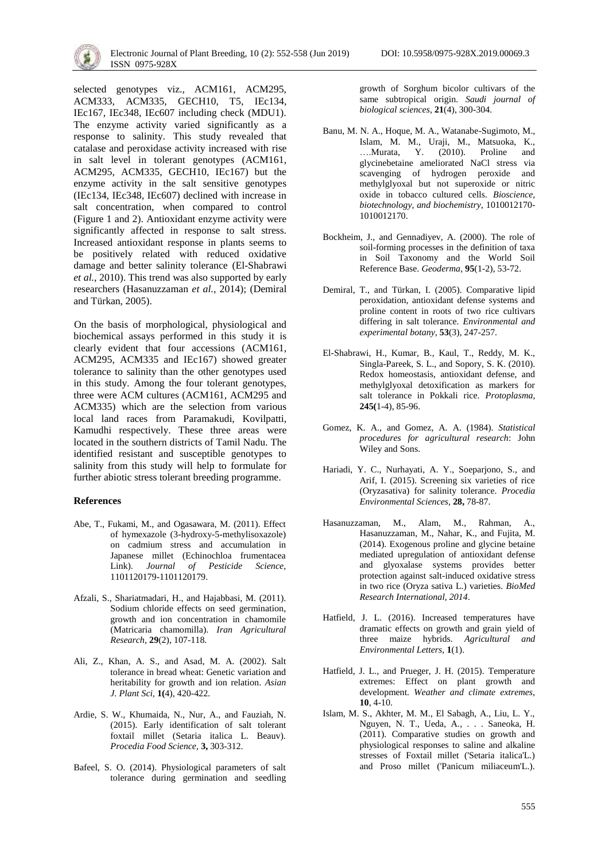selected genotypes viz., ACM161, ACM295, ACM333, ACM335, GECH10, T5, IEc134, IEc167, IEc348, IEc607 including check (MDU1). The enzyme activity varied significantly as a response to salinity. This study revealed that catalase and peroxidase activity increased with rise in salt level in tolerant genotypes (ACM161, ACM295, ACM335, GECH10, IEc167) but the enzyme activity in the salt sensitive genotypes (IEc134, IEc348, IEc607) declined with increase in salt concentration, when compared to control (Figure 1 and 2). Antioxidant enzyme activity were significantly affected in response to salt stress. Increased antioxidant response in plants seems to be positively related with reduced oxidative damage and better salinity tolerance (El-Shabrawi *et al.*, 2010). This trend was also supported by early researchers (Hasanuzzaman *et al.*, 2014); (Demiral and Türkan, 2005).

On the basis of morphological, physiological and biochemical assays performed in this study it is clearly evident that four accessions (ACM161, ACM295, ACM335 and IEc167) showed greater tolerance to salinity than the other genotypes used in this study. Among the four tolerant genotypes, three were ACM cultures (ACM161, ACM295 and ACM335) which are the selection from various local land races from Paramakudi, Kovilpatti, Kamudhi respectively. These three areas were located in the southern districts of Tamil Nadu. The identified resistant and susceptible genotypes to salinity from this study will help to formulate for further abiotic stress tolerant breeding programme.

#### **References**

- Abe, T., Fukami, M., and Ogasawara, M. (2011). Effect of hymexazole (3-hydroxy-5-methylisoxazole) on cadmium stress and accumulation in Japanese millet (Echinochloa frumentacea Link). *Journal of Pesticide Science*, 1101120179-1101120179.
- Afzali, S., Shariatmadari, H., and Hajabbasi, M. (2011). Sodium chloride effects on seed germination, growth and ion concentration in chamomile (Matricaria chamomilla). *Iran Agricultural Research,* **29**(2), 107-118.
- Ali, Z., Khan, A. S., and Asad, M. A. (2002). Salt tolerance in bread wheat: Genetic variation and heritability for growth and ion relation. *Asian J. Plant Sci,* **1(**4), 420-422.
- Ardie, S. W., Khumaida, N., Nur, A., and Fauziah, N. (2015). Early identification of salt tolerant foxtail millet (Setaria italica L. Beauv). *Procedia Food Science,* **3,** 303-312.
- Bafeel, S. O. (2014). Physiological parameters of salt tolerance during germination and seedling

growth of Sorghum bicolor cultivars of the same subtropical origin. *Saudi journal of biological sciences,* **21**(4), 300-304.

- Banu, M. N. A., Hoque, M. A., Watanabe-Sugimoto, M., Islam, M. M., Uraji, M., Matsuoka, K., ….Murata, Y. (2010). Proline and glycinebetaine ameliorated NaCl stress via scavenging of hydrogen peroxide and methylglyoxal but not superoxide or nitric oxide in tobacco cultured cells. *Bioscience, biotechnology, and biochemistry*, 1010012170- 1010012170.
- Bockheim, J., and Gennadiyev, A. (2000). The role of soil-forming processes in the definition of taxa in Soil Taxonomy and the World Soil Reference Base. *Geoderma,* **95**(1-2), 53-72.
- Demiral, T., and Türkan, I. (2005). Comparative lipid peroxidation, antioxidant defense systems and proline content in roots of two rice cultivars differing in salt tolerance. *Environmental and experimental botany,* **53**(3), 247-257.
- El-Shabrawi, H., Kumar, B., Kaul, T., Reddy, M. K., Singla-Pareek, S. L., and Sopory, S. K. (2010). Redox homeostasis, antioxidant defense, and methylglyoxal detoxification as markers for salt tolerance in Pokkali rice. *Protoplasma,*  **245(**1-4), 85-96.
- Gomez, K. A., and Gomez, A. A. (1984). *Statistical procedures for agricultural research*: John Wiley and Sons.
- Hariadi, Y. C., Nurhayati, A. Y., Soeparjono, S., and Arif, I. (2015). Screening six varieties of rice (Oryzasativa) for salinity tolerance. *Procedia Environmental Sciences,* **28,** 78-87.
- Hasanuzzaman, M., Alam, M., Rahman, A., Hasanuzzaman, M., Nahar, K., and Fujita, M. (2014). Exogenous proline and glycine betaine mediated upregulation of antioxidant defense and glyoxalase systems provides better protection against salt-induced oxidative stress in two rice (Oryza sativa L.) varieties. *BioMed Research International, 2014*.
- Hatfield, J. L. (2016). Increased temperatures have dramatic effects on growth and grain yield of three maize hybrids. *Agricultural and Environmental Letters,* **1**(1).
- Hatfield, J. L., and Prueger, J. H. (2015). Temperature extremes: Effect on plant growth and development. *Weather and climate extremes,*  **10**, 4-10.
- Islam, M. S., Akhter, M. M., El Sabagh, A., Liu, L. Y., Nguyen, N. T., Ueda, A., . . . Saneoka, H. (2011). Comparative studies on growth and physiological responses to saline and alkaline stresses of Foxtail millet ('Setaria italica'L.) and Proso millet ('Panicum miliaceum'L.).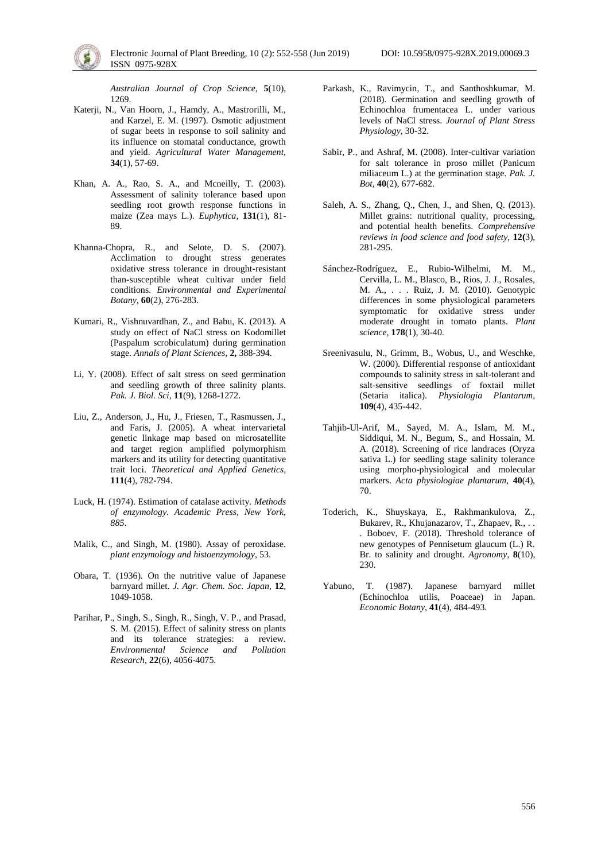*Australian Journal of Crop Science,* **5**(10), 1269.

- Katerii, N., Van Hoorn, J., Hamdy, A., Mastrorilli, M., and Karzel, E. M. (1997). Osmotic adjustment of sugar beets in response to soil salinity and its influence on stomatal conductance, growth and yield. *Agricultural Water Management,*  **34**(1), 57-69.
- Khan, A. A., Rao, S. A., and Mcneilly, T. (2003). Assessment of salinity tolerance based upon seedling root growth response functions in maize (Zea mays L.). *Euphytica,* **131**(1), 81- 89.
- Khanna-Chopra, R., and Selote, D. S. (2007). Acclimation to drought stress generates oxidative stress tolerance in drought-resistant than-susceptible wheat cultivar under field conditions. *Environmental and Experimental Botany,* **60**(2), 276-283.
- Kumari, R., Vishnuvardhan, Z., and Babu, K. (2013). A study on effect of NaCl stress on Kodomillet (Paspalum scrobiculatum) during germination stage. *Annals of Plant Sciences,* **2,** 388-394.
- Li, Y. (2008). Effect of salt stress on seed germination and seedling growth of three salinity plants. *Pak. J. Biol. Sci,* **11**(9), 1268-1272.
- Liu, Z., Anderson, J., Hu, J., Friesen, T., Rasmussen, J., and Faris, J. (2005). A wheat intervarietal genetic linkage map based on microsatellite and target region amplified polymorphism markers and its utility for detecting quantitative trait loci. *Theoretical and Applied Genetics,*  **111**(4), 782-794.
- Luck, H. (1974). Estimation of catalase activity. *Methods of enzymology. Academic Press, New York, 885*.
- Malik, C., and Singh, M. (1980). Assay of peroxidase. *plant enzymology and histoenzymology*, 53.
- Obara, T. (1936). On the nutritive value of Japanese barnyard millet. *J. Agr. Chem. Soc. Japan,* **12**, 1049-1058.
- Parihar, P., Singh, S., Singh, R., Singh, V. P., and Prasad, S. M. (2015). Effect of salinity stress on plants and its tolerance strategies: a review. *Environmental Science and Pollution Research,* **22**(6), 4056-4075.
- Parkash, K., Ravimycin, T., and Santhoshkumar, M. (2018). Germination and seedling growth of Echinochloa frumentacea L. under various levels of NaCl stress. *Journal of Plant Stress Physiology*, 30-32.
- Sabir, P., and Ashraf, M. (2008). Inter-cultivar variation for salt tolerance in proso millet (Panicum miliaceum L.) at the germination stage. *Pak. J. Bot,* **40**(2), 677-682.
- Saleh, A. S., Zhang, Q., Chen, J., and Shen, Q. (2013). Millet grains: nutritional quality, processing, and potential health benefits. *Comprehensive reviews in food science and food safety,* **12(**3), 281-295.
- Sánchez-Rodríguez, E., Rubio-Wilhelmi, M. M., Cervilla, L. M., Blasco, B., Rios, J. J., Rosales, M. A., . . . Ruiz, J. M. (2010). Genotypic differences in some physiological parameters symptomatic for oxidative stress under moderate drought in tomato plants. *Plant science,* **178**(1), 30-40.
- Sreenivasulu, N., Grimm, B., Wobus, U., and Weschke, W. (2000). Differential response of antioxidant compounds to salinity stress in salt-tolerant and salt-sensitive seedlings of foxtail millet (Setaria italica). *Physiologia Plantarum,*  **109**(4), 435-442.
- Tahjib-Ul-Arif, M., Sayed, M. A., Islam, M. M., Siddiqui, M. N., Begum, S., and Hossain, M. A. (2018). Screening of rice landraces (Oryza sativa L.) for seedling stage salinity tolerance using morpho-physiological and molecular markers. *Acta physiologiae plantarum,* **40**(4), 70.
- Toderich, K., Shuyskaya, E., Rakhmankulova, Z., Bukarev, R., Khujanazarov, T., Zhapaev, R., . . . Boboev, F. (2018). Threshold tolerance of new genotypes of Pennisetum glaucum (L.) R. Br. to salinity and drought. *Agronomy,* **8**(10), 230.
- Yabuno, T. (1987). Japanese barnyard millet (Echinochloa utilis, Poaceae) in Japan. *Economic Botany,* **41**(4), 484-493.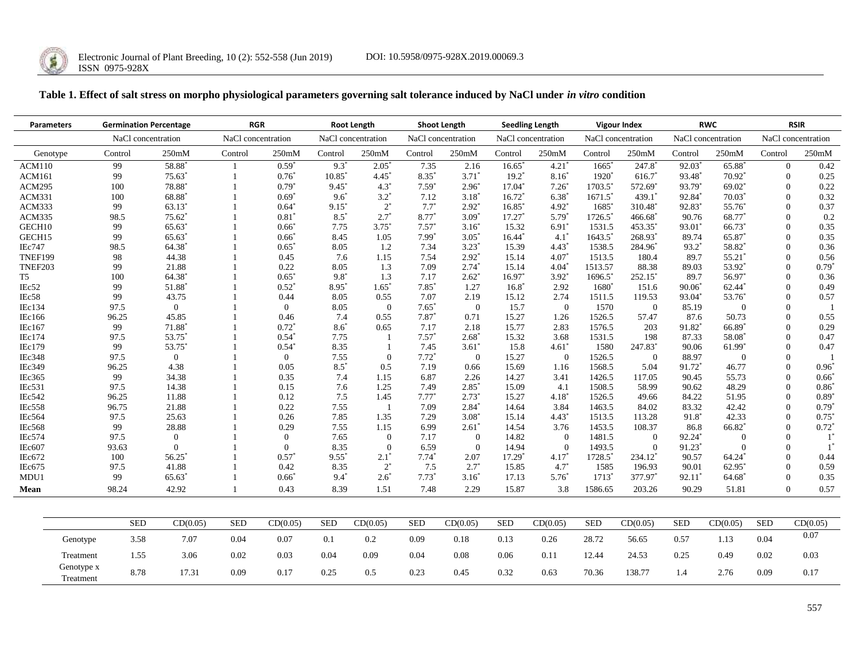

Genotype x

# **Table 1. Effect of salt stress on morpho physiological parameters governing salt tolerance induced by NaCl under** *in vitro* **condition**

| <b>Parameters</b> |          | <b>Germination Percentage</b> |                      | <b>RGR</b>         |                     | <b>Root Length</b>  |                | <b>Shoot Length</b> |                  | <b>Seedling Length</b> |                     | <b>Vigour Index</b> |                | <b>RWC</b>          |                      | <b>RSIR</b>        |          |
|-------------------|----------|-------------------------------|----------------------|--------------------|---------------------|---------------------|----------------|---------------------|------------------|------------------------|---------------------|---------------------|----------------|---------------------|----------------------|--------------------|----------|
|                   |          | NaCl concentration            |                      | NaCl concentration |                     | NaCl concentration  |                | NaCl concentration  |                  | NaCl concentration     |                     | NaCl concentration  |                | NaCl concentration  |                      | NaCl concentration |          |
| Genotype          |          | Control                       | 250 <sub>m</sub> M   | Control            | 250 <sub>m</sub> M  | Control             | 250mM          | Control             | 250mM            | Control                | 250mM               | Control             | 250mM          | Control             | 250mM                | Control            | 250mM    |
| <b>ACM110</b>     |          | 99                            | 58.88                |                    | $0.59*$             | $9.3^{\circ}$       | 2.05           | 7.35                | 2.16             | $16.65$ <sup>*</sup>   | 4.21                | 1665                | 247.8          | 92.03               | 65.88*               | $\mathbf{0}$       | 0.42     |
| <b>ACM161</b>     |          | 99                            | $75.63$ <sup>*</sup> |                    | $0.76*$             | $10.85*$            | $4.45^*$       | 8.35*               | $3.71*$          | $19.2^*$               | $8.16*$             | 1920 <sup>*</sup>   | 616.7          | 93.48*              | $70.92$ <sup>*</sup> | $\Omega$           | 0.25     |
| <b>ACM295</b>     |          | 100                           | 78.88                |                    | $0.79*$             | $9.45$ <sup>*</sup> | $4.3^*$        | $7.59*$             | $2.96^*$         | $17.04*$               | $7.26^*$            | 1703.5              | 572.69*        | 93.79*              | 69.02                | $\Omega$           | 0.22     |
| <b>ACM331</b>     |          | 100                           | 68.88                |                    | $0.69*$             | $9.6^*$             | $3.2*$         | 7.12                | $3.18*$          | $16.72$ <sup>*</sup>   | 6.38                | 1671.5              | 439.1          | 92.84*              | $70.03$ <sup>*</sup> | $\Omega$           | 0.32     |
| ACM333            |          | 99                            | 63.13                |                    | $0.64*$             | $9.15*$             | $2^*$          | $7.7^*$             | $2.92*$          | 16.85                  | 4.92*               | 1685                | 310.48         | 92.83*              | 55.76                | $\Omega$           | 0.37     |
| <b>ACM335</b>     |          | 98.5                          | $75.62*$             |                    | 0.81                | $8.5*$              | $2.7^*$        | $8.77*$             | $3.09*$          | 17.27                  | $5.79^{\circ}$      | 1726.5              | 466.68         | 90.76               | 68.77                | $\Omega$           | 0.2      |
| GECH10            |          | 99                            | 65.63                |                    | $0.66*$             | 7.75                | $3.75^*$       | $7.57*$             | $3.16*$          | 15.32                  | $6.91$ <sup>*</sup> | 1531.5              | 453.35         | 93.01*              | 66.73                | $\Omega$           | 0.35     |
| GECH15            |          | 99                            | 65.63                |                    | $0.66*$             | 8.45                | 1.05           | $7.99*$             | $3.05^{\circ}$   | 16.44                  | $4.1^{\circ}$       | 1643.5              | 268.93         | 89.74               | 65.87                | $\Omega$           | 0.35     |
| <b>IEc747</b>     |          | 98.5                          | 64.38                |                    | $0.65*$             | 8.05                | 1.2            | 7.34                | $3.23^{\circ}$   | 15.39                  | $4.43^*$            | 1538.5              | 284.96         | $93.2$ <sup>*</sup> | 58.82*               | $\theta$           | 0.36     |
| <b>TNEF199</b>    |          | 98                            | 44.38                |                    | 0.45                | 7.6                 | 1.15           | 7.54                | $2.92^*$         | 15.14                  | $4.07^*$            | 1513.5              | 180.4          | 89.7                | 55.21                | $\Omega$           | 0.56     |
| TNEF203           |          | 99                            | 21.88                |                    | 0.22                | 8.05                | 1.3            | 7.09                | $2.74*$          | 15.14                  | $4.04^{\circ}$      | 1513.57             | 88.38          | 89.03               | 53.92                | $\Omega$           | $0.79*$  |
| T5                |          | 100                           | 64.38                |                    | $0.65*$             | $9.8*$              | 1.3            | 7.17                | $2.62^*$         | 16.97                  | $3.92^{\circ}$      | 1696.5              | 252.15*        | 89.7                | 56.97                | $\Omega$           | 0.36     |
| IEc52             |          | 99                            | 51.88                |                    | $0.52$ <sup>*</sup> | 8.95*               | $1.65*$        | $7.85*$             | 1.27             | $16.8^{\circ}$         | 2.92                | 1680                | 151.6          | $90.06*$            | 62.44                | $\Omega$           | 0.49     |
| IEc58             |          | 99                            | 43.75                |                    | 0.44                | 8.05                | 0.55           | 7.07                | 2.19             | 15.12                  | 2.74                | 1511.5              | 119.53         | 93.04*              | 53.76                | $\Omega$           | 0.57     |
| IEc134            |          | 97.5                          | $\overline{0}$       |                    | $\overline{0}$      | 8.05                | $\overline{0}$ | $7.65*$             | $\overline{0}$   | 15.7                   | $\overline{0}$      | 1570                | $\overline{0}$ | 85.19               | $\Omega$             | $\Omega$           |          |
| <b>IEc166</b>     |          | 96.25                         | 45.85                |                    | 0.46                | 7.4                 | 0.55           | $7.87*$             | 0.71             | 15.27                  | 1.26                | 1526.5              | 57.47          | 87.6                | 50.73                | $\Omega$           | 0.55     |
| IEc167            |          | 99                            | 71.88                |                    | $0.72$ <sup>*</sup> | $8.6*$              | 0.65           | 7.17                | 2.18             | 15.77                  | 2.83                | 1576.5              | 203            | 91.82*              | 66.89*               | $\Omega$           | 0.29     |
| IEc174            |          | 97.5                          | 53.75                |                    | $0.54^*$            | 7.75                | $\overline{1}$ | $7.57*$             | $2.68^*$         | 15.32                  | 3.68                | 1531.5              | 198            | 87.33               | 58.08                | $\Omega$           | 0.47     |
| <b>IEc179</b>     |          | 99                            | 53.75                |                    | $0.54$ <sup>*</sup> | 8.35                |                | 7.45                | $3.61*$          | 15.8                   | $4.61*$             | 1580                | 247.83*        | 90.06               | 61.99*               | $\Omega$           | 0.47     |
| <b>IEc348</b>     |          | 97.5                          | $\mathbf{0}$         |                    | $\overline{0}$      | 7.55                | $\theta$       | $7.72*$             | $\boldsymbol{0}$ | 15.27                  | $\overline{0}$      | 1526.5              | $\mathbf{0}$   | 88.97               | $\theta$             | $\Omega$           |          |
| IEc349            |          | 96.25                         | 4.38                 |                    | 0.05                | $8.5*$              | 0.5            | 7.19                | 0.66             | 15.69                  | 1.16                | 1568.5              | 5.04           | 91.72*              | 46.77                | $\theta$           | $0.96*$  |
| IEc365            |          | 99                            | 34.38                |                    | 0.35                | 7.4                 | 1.15           | 6.87                | 2.26             | 14.27                  | 3.41                | 1426.5              | 117.05         | 90.45               | 55.73                | $\Omega$           | $0.66^*$ |
| IEc531            |          | 97.5                          | 14.38                |                    | 0.15                | 7.6                 | 1.25           | 7.49                | $2.85^*$         | 15.09                  | 4.1                 | 1508.5              | 58.99          | 90.62               | 48.29                | $\Omega$           | $0.86*$  |
| IEc542            |          | 96.25                         | 11.88                |                    | 0.12                | 7.5                 | 1.45           | $7.77*$             | $2.73*$          | 15.27                  | $4.18^*$            | 1526.5              | 49.66          | 84.22               | 51.95                | $\Omega$           | $0.89*$  |
| <b>IEc558</b>     |          | 96.75                         | 21.88                |                    | 0.22                | 7.55                | $\overline{1}$ | 7.09                | $2.84*$          | 14.64                  | 3.84                | 1463.5              | 84.02          | 83.32               | 42.42                | $\Omega$           | $0.79*$  |
| IEc564            |          | 97.5                          | 25.63                |                    | 0.26                | 7.85                | 1.35           | 7.29                | $3.08*$          | 15.14                  | $4.43*$             | 1513.5              | 113.28         | $91.8$ <sup>*</sup> | 42.33                | $\Omega$           | $0.75*$  |
| <b>IEc568</b>     |          | 99                            | 28.88                |                    | 0.29                | 7.55                | 1.15           | 6.99                | $2.61^*$         | 14.54                  | 3.76                | 1453.5              | 108.37         | 86.8                | 66.82*               | $\Omega$           | $0.72*$  |
| IEc574            |          | 97.5                          | $\overline{0}$       |                    | $\overline{0}$      | 7.65                | $\overline{0}$ | 7.17                | $\overline{0}$   | 14.82                  | $\overline{0}$      | 1481.5              | $\overline{0}$ | 92.24*              | $\theta$             | $\Omega$           | $1^*$    |
| IEc607            |          | 93.63                         | $\Omega$             |                    | $\Omega$            | 8.35                | $\Omega$       | 6.59                | $\theta$         | 14.94                  | $\Omega$            | 1493.5              | $\mathbf{0}$   | 91.23*              | $\Omega$             | $\Omega$           | $1^*$    |
| IEc672            |          | 100                           | 56.25                |                    | $0.57*$             | $9.55*$             | $2.1^*$        | $7.74*$             | 2.07             | $17.29*$               | $4.17*$             | 1728.5              | 234.12         | 90.57               | 64.24                | $\Omega$           | 0.44     |
| IEc675            |          | 97.5                          | 41.88                |                    | 0.42                | 8.35                | $2^*$          | 7.5                 | $2.7^*$          | 15.85                  | $4.7^{\circ}$       | 1585                | 196.93         | 90.01               | 62.95                | $\Omega$           | 0.59     |
| MDU1              |          | 99                            | 65.63                |                    | $0.66*$             | $9.4*$              | $2.6*$         | $7.73*$             | $3.16*$          | 17.13                  | $5.76^*$            | $1713*$             | 377.97         | $92.11*$            | 64.68                | $\Omega$           | 0.35     |
| Mean              |          | 98.24                         | 42.92                |                    | 0.43                | 8.39                | 1.51           | 7.48                | 2.29             | 15.87                  | 3.8                 | 1586.65             | 203.26         | 90.29               | 51.81                | $\Omega$           | 0.57     |
|                   |          |                               |                      |                    |                     |                     |                |                     |                  |                        |                     |                     |                |                     |                      |                    |          |
|                   |          | <b>SED</b>                    | CD(0.05)             | <b>SED</b>         | CD(0.05)            | <b>SED</b>          | CD(0.05)       | <b>SED</b>          | CD(0.05)         | <b>SED</b>             | CD(0.05)            | <b>SED</b>          | CD(0.05)       | <b>SED</b>          | CD(0.05)             | <b>SED</b>         | CD(0.05) |
|                   | Genotype | 3.58                          | 7.07                 | 0.04               | 0.07                | 0.1                 | 0.2            | 0.09                | 0.18             | 0.13                   | 0.26                | 28.72               | 56.65          | 0.57                | 1.13                 | 0.04               | 0.07     |

Treatment 1.55 3.06 0.02 0.03 0.04 0.09 0.04 0.08 0.06 0.11 12.44 24.53 0.25 0.49 0.02 0.03

Treatment 8.78 17.31 0.09 0.17 0.25 0.5 0.23 0.45 0.32 0.63 70.36 138.77 1.4 2.76 0.09 0.17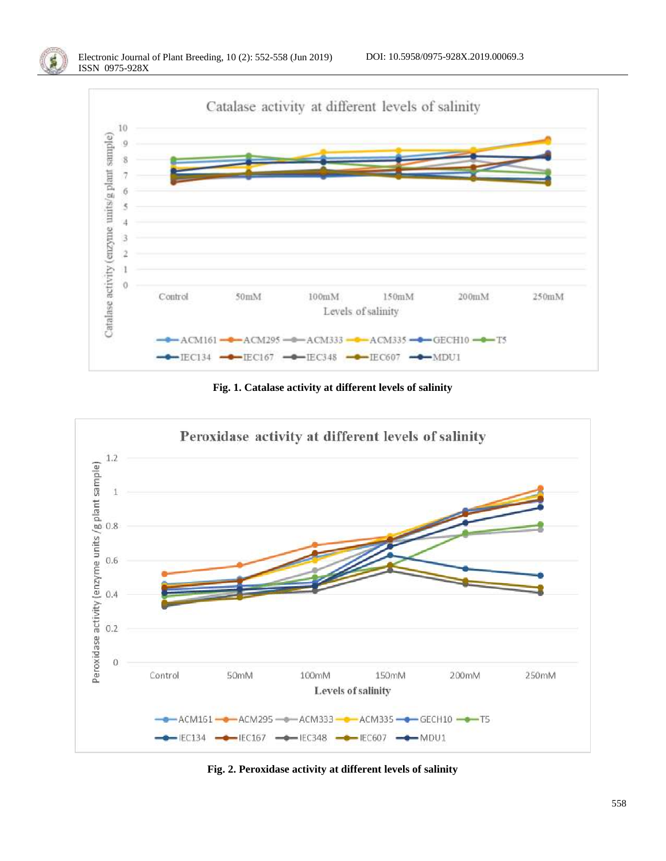

**Fig. 1. Catalase activity at different levels of salinity**



**Fig. 2. Peroxidase activity at different levels of salinity**